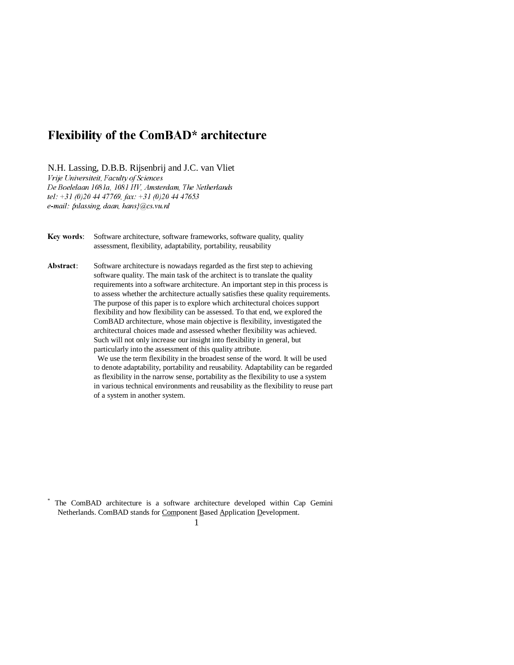# Flexibility of the ComBAD\* architecture

N.H. Lassing, D.B.B. Rijsenbrij and J.C. van Vliet

Vrije Universiteit, Faculty of Sciences De Boelelaan 1081 a, 1081 HV, Amsterdam, The Netherlands tel: +31 (0)20 44 47769, fax: +31 (0)20 44 47653 e-mail: {nlassing, daan, hans}@cs.vu.nl

Key words: Software architecture, software frameworks, software quality, quality assessment, flexibility, adaptability, portability, reusability

Abstract: Software architecture is nowadays regarded as the first step to achieving software quality. The main task of the architect is to translate the quality requirements into a software architecture. An important step in this process is to assess whether the architecture actually satisfies these quality requirements. The purpose of this paper is to explore which architectural choices support flexibility and how flexibility can be assessed. To that end, we explored the ComBAD architecture, whose main objective is flexibility, investigated the architectural choices made and assessed whether flexibility was achieved. Such will not only increase our insight into flexibility in general, but particularly into the assessment of this quality attribute.

> We use the term flexibility in the broadest sense of the word. It will be used to denote adaptability, portability and reusability. Adaptability can be regarded as flexibility in the narrow sense, portability as the flexibility to use a system in various technical environments and reusability as the flexibility to reuse part of a system in another system.

 The ComBAD architecture is a software architecture developed within Cap Gemini Netherlands. ComBAD stands for Component Based Application Development.

\*

1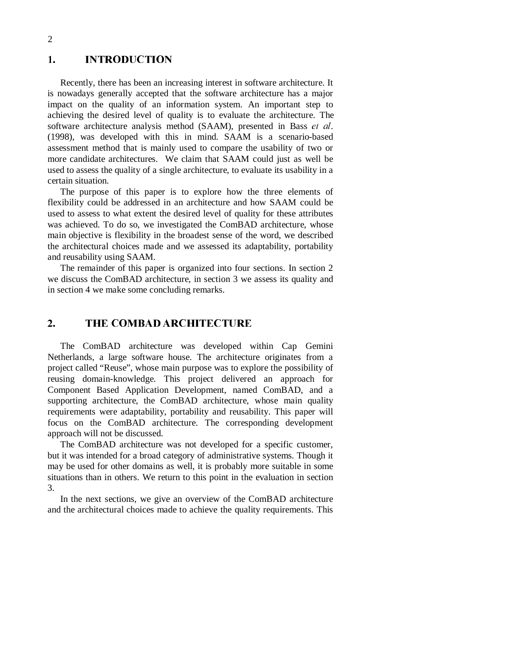## 1. INTRODUCTION

Recently, there has been an increasing interest in software architecture. It is nowadays generally accepted that the software architecture has a major impact on the quality of an information system. An important step to achieving the desired level of quality is to evaluate the architecture. The software architecture analysis method (SAAM), presented in Bass et al. (1998), was developed with this in mind. SAAM is a scenario-based assessment method that is mainly used to compare the usability of two or more candidate architectures. We claim that SAAM could just as well be used to assess the quality of a single architecture, to evaluate its usability in a certain situation.

The purpose of this paper is to explore how the three elements of flexibility could be addressed in an architecture and how SAAM could be used to assess to what extent the desired level of quality for these attributes was achieved. To do so, we investigated the ComBAD architecture, whose main objective is flexibility in the broadest sense of the word, we described the architectural choices made and we assessed its adaptability, portability and reusability using SAAM.

The remainder of this paper is organized into four sections. In section 2 we discuss the ComBAD architecture, in section 3 we assess its quality and in section 4 we make some concluding remarks.

## 2. THE COMBAD ARCHITECTURE

The ComBAD architecture was developed within Cap Gemini Netherlands, a large software house. The architecture originates from a project called "Reuse", whose main purpose was to explore the possibility of reusing domain-knowledge. This project delivered an approach for Component Based Application Development, named ComBAD, and a supporting architecture, the ComBAD architecture, whose main quality requirements were adaptability, portability and reusability. This paper will focus on the ComBAD architecture. The corresponding development approach will not be discussed.

The ComBAD architecture was not developed for a specific customer, but it was intended for a broad category of administrative systems. Though it may be used for other domains as well, it is probably more suitable in some situations than in others. We return to this point in the evaluation in section 3.

In the next sections, we give an overview of the ComBAD architecture and the architectural choices made to achieve the quality requirements. This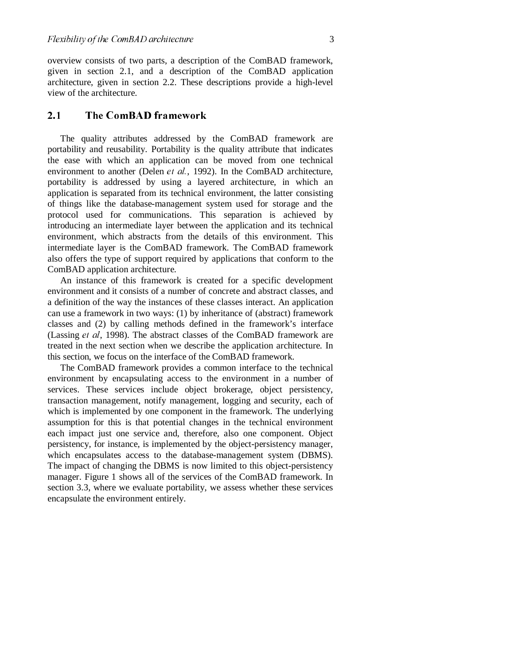overview consists of two parts, a description of the ComBAD framework, given in section 2.1, and a description of the ComBAD application architecture, given in section 2.2. These descriptions provide a high-level view of the architecture.

## 2.1 The Com BAD framework

The quality attributes addressed by the ComBAD framework are portability and reusability. Portability is the quality attribute that indicates the ease with which an application can be moved from one technical environment to another (Delen et al., 1992). In the ComBAD architecture, portability is addressed by using a layered architecture, in which an application is separated from its technical environment, the latter consisting of things like the database-management system used for storage and the protocol used for communications. This separation is achieved by introducing an intermediate layer between the application and its technical environment, which abstracts from the details of this environment. This intermediate layer is the ComBAD framework. The ComBAD framework also offers the type of support required by applications that conform to the ComBAD application architecture.

An instance of this framework is created for a specific development environment and it consists of a number of concrete and abstract classes, and a definition of the way the instances of these classes interact. An application can use a framework in two ways: (1) by inheritance of (abstract) framework classes and (2) by calling methods defined in the framework's interface (Lassing et al, 1998). The abstract classes of the ComBAD framework are treated in the next section when we describe the application architecture. In this section, we focus on the interface of the ComBAD framework.

The ComBAD framework provides a common interface to the technical environment by encapsulating access to the environment in a number of services. These services include object brokerage, object persistency, transaction management, notify management, logging and security, each of which is implemented by one component in the framework. The underlying assumption for this is that potential changes in the technical environment each impact just one service and, therefore, also one component. Object persistency, for instance, is implemented by the object-persistency manager, which encapsulates access to the database-management system (DBMS). The impact of changing the DBMS is now limited to this object-persistency manager. Figure 1 shows all of the services of the ComBAD framework. In section 3.3, where we evaluate portability, we assess whether these services encapsulate the environment entirely.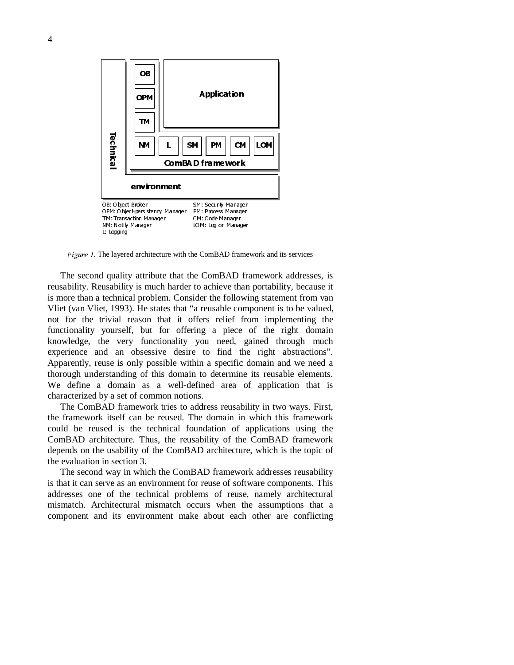



 $Figure 1$ . The layered architecture with the ComBAD framework and its services

The second quality attribute that the ComBAD framework addresses, is reusability. Reusability is much harder to achieve than portability, because it is more than a technical problem. Consider the following statement from van Vliet (van Vliet, 1993). He states that "a reusable component is to be valued, not for the trivial reason that it offers relief from implementing the functionality yourself, but for offering a piece of the right domain knowledge, the very functionality you need, gained through much experience and an obsessive desire to find the right abstractions". Apparently, reuse is only possible within a specific domain and we need a thorough understanding of this domain to determine its reusable elements. We define a domain as a well-defined area of application that is characterized by a set of common notions.

The ComBAD framework tries to address reusability in two ways. First, the framework itself can be reused. The domain in which this framework could be reused is the technical foundation of applications using the ComBAD architecture. Thus, the reusability of the ComBAD framework depends on the usability of the ComBAD architecture, which is the topic of the evaluation in section 3.

The second way in which the ComBAD framework addresses reusability is that it can serve as an environment for reuse of software components. This addresses one of the technical problems of reuse, namely architectural mismatch. Architectural mismatch occurs when the assumptions that a component and its environment make about each other are conflicting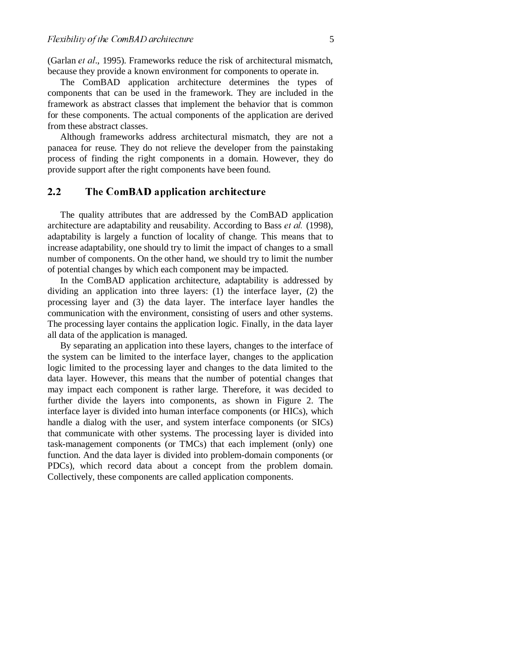(Garlan et al., 1995). Frameworks reduce the risk of architectural mismatch, because they provide a known environment for components to operate in.

The ComBAD application architecture determines the types of components that can be used in the framework. They are included in the framework as abstract classes that implement the behavior that is common for these components. The actual components of the application are derived from these abstract classes.

Although frameworks address architectural mismatch, they are not a panacea for reuse. They do not relieve the developer from the painstaking process of finding the right components in a domain. However, they do provide support after the right components have been found.

## 2.2 The Com BAD application architecture

The quality attributes that are addressed by the ComBAD application architecture are adaptability and reusability. According to Bass et al. (1998), adaptability is largely a function of locality of change. This means that to increase adaptability, one should try to limit the impact of changes to a small number of components. On the other hand, we should try to limit the number of potential changes by which each component may be impacted.

In the ComBAD application architecture, adaptability is addressed by dividing an application into three layers: (1) the interface layer, (2) the processing layer and (3) the data layer. The interface layer handles the communication with the environment, consisting of users and other systems. The processing layer contains the application logic. Finally, in the data layer all data of the application is managed.

By separating an application into these layers, changes to the interface of the system can be limited to the interface layer, changes to the application logic limited to the processing layer and changes to the data limited to the data layer. However, this means that the number of potential changes that may impact each component is rather large. Therefore, it was decided to further divide the layers into components, as shown in Figure 2. The interface layer is divided into human interface components (or HICs), which handle a dialog with the user, and system interface components (or SICs) that communicate with other systems. The processing layer is divided into task-management components (or TMCs) that each implement (only) one function. And the data layer is divided into problem-domain components (or PDCs), which record data about a concept from the problem domain. Collectively, these components are called application components.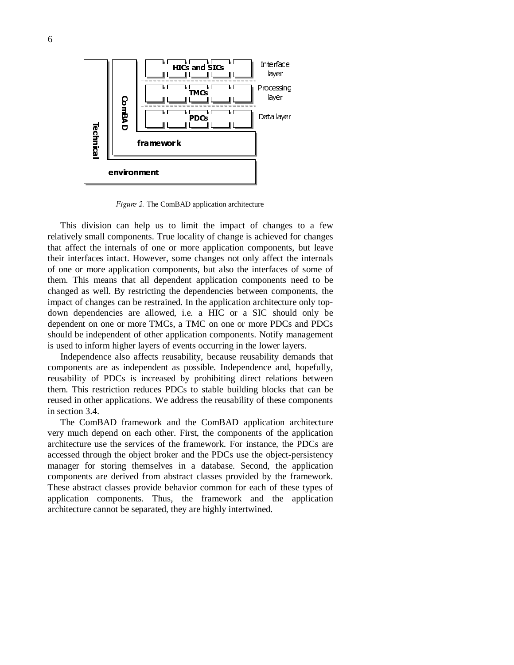

 $Figure 2$ . The ComBAD application architecture

This division can help us to limit the impact of changes to a few relatively small components. True locality of change is achieved for changes that affect the internals of one or more application components, but leave their interfaces intact. However, some changes not only affect the internals of one or more application components, but also the interfaces of some of them. This means that all dependent application components need to be changed as well. By restricting the dependencies between components, the impact of changes can be restrained. In the application architecture only topdown dependencies are allowed, i.e. a HIC or a SIC should only be dependent on one or more TMCs, a TMC on one or more PDCs and PDCs should be independent of other application components. Notify management is used to inform higher layers of events occurring in the lower layers.

Independence also affects reusability, because reusability demands that components are as independent as possible. Independence and, hopefully, reusability of PDCs is increased by prohibiting direct relations between them. This restriction reduces PDCs to stable building blocks that can be reused in other applications. We address the reusability of these components in section 3.4.

The ComBAD framework and the ComBAD application architecture very much depend on each other. First, the components of the application architecture use the services of the framework. For instance, the PDCs are accessed through the object broker and the PDCs use the object-persistency manager for storing themselves in a database. Second, the application components are derived from abstract classes provided by the framework. These abstract classes provide behavior common for each of these types of application components. Thus, the framework and the application architecture cannot be separated, they are highly intertwined.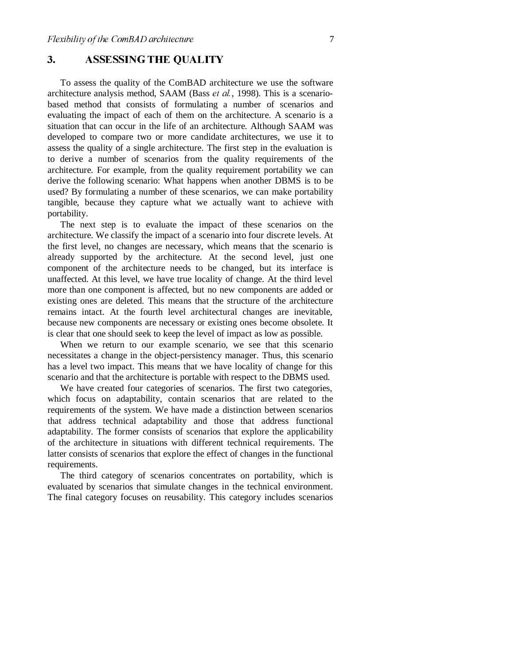## 3. ASSESSING THE QUALITY

To assess the quality of the ComBAD architecture we use the software architecture analysis method, SAAM (Bass  $et$   $al$ , 1998). This is a scenariobased method that consists of formulating a number of scenarios and evaluating the impact of each of them on the architecture. A scenario is a situation that can occur in the life of an architecture. Although SAAM was developed to compare two or more candidate architectures, we use it to assess the quality of a single architecture. The first step in the evaluation is to derive a number of scenarios from the quality requirements of the architecture. For example, from the quality requirement portability we can derive the following scenario: What happens when another DBMS is to be used? By formulating a number of these scenarios, we can make portability tangible, because they capture what we actually want to achieve with portability.

The next step is to evaluate the impact of these scenarios on the architecture. We classify the impact of a scenario into four discrete levels. At the first level, no changes are necessary, which means that the scenario is already supported by the architecture. At the second level, just one component of the architecture needs to be changed, but its interface is unaffected. At this level, we have true locality of change. At the third level more than one component is affected, but no new components are added or existing ones are deleted. This means that the structure of the architecture remains intact. At the fourth level architectural changes are inevitable, because new components are necessary or existing ones become obsolete. It is clear that one should seek to keep the level of impact as low as possible.

When we return to our example scenario, we see that this scenario necessitates a change in the object-persistency manager. Thus, this scenario has a level two impact. This means that we have locality of change for this scenario and that the architecture is portable with respect to the DBMS used.

We have created four categories of scenarios. The first two categories, which focus on adaptability, contain scenarios that are related to the requirements of the system. We have made a distinction between scenarios that address technical adaptability and those that address functional adaptability. The former consists of scenarios that explore the applicability of the architecture in situations with different technical requirements. The latter consists of scenarios that explore the effect of changes in the functional requirements.

The third category of scenarios concentrates on portability, which is evaluated by scenarios that simulate changes in the technical environment. The final category focuses on reusability. This category includes scenarios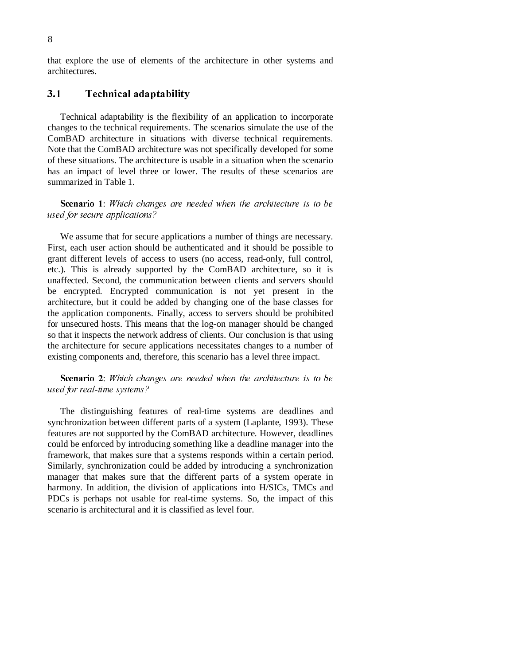that explore the use of elements of the architecture in other systems and architectures.

## 3.1 Technical adaptability

Technical adaptability is the flexibility of an application to incorporate changes to the technical requirements. The scenarios simulate the use of the ComBAD architecture in situations with diverse technical requirements. Note that the ComBAD architecture was not specifically developed for some of these situations. The architecture is usable in a situation when the scenario has an impact of level three or lower. The results of these scenarios are summarized in Table 1.

**Scenario** 1: Which changes are needed when the architecture is to be used for secure applications?

We assume that for secure applications a number of things are necessary. First, each user action should be authenticated and it should be possible to grant different levels of access to users (no access, read-only, full control, etc.). This is already supported by the ComBAD architecture, so it is unaffected. Second, the communication between clients and servers should be encrypted. Encrypted communication is not yet present in the architecture, but it could be added by changing one of the base classes for the application components. Finally, access to servers should be prohibited for unsecured hosts. This means that the log-on manager should be changed so that it inspects the network address of clients. Our conclusion is that using the architecture for secure applications necessitates changes to a number of existing components and, therefore, this scenario has a level three impact.

Scenario 2: Which changes are needed when the architecture is to be used for real-time systems?

The distinguishing features of real-time systems are deadlines and synchronization between different parts of a system (Laplante, 1993). These features are not supported by the ComBAD architecture. However, deadlines could be enforced by introducing something like a deadline manager into the framework, that makes sure that a systems responds within a certain period. Similarly, synchronization could be added by introducing a synchronization manager that makes sure that the different parts of a system operate in harmony. In addition, the division of applications into H/SICs, TMCs and PDCs is perhaps not usable for real-time systems. So, the impact of this scenario is architectural and it is classified as level four.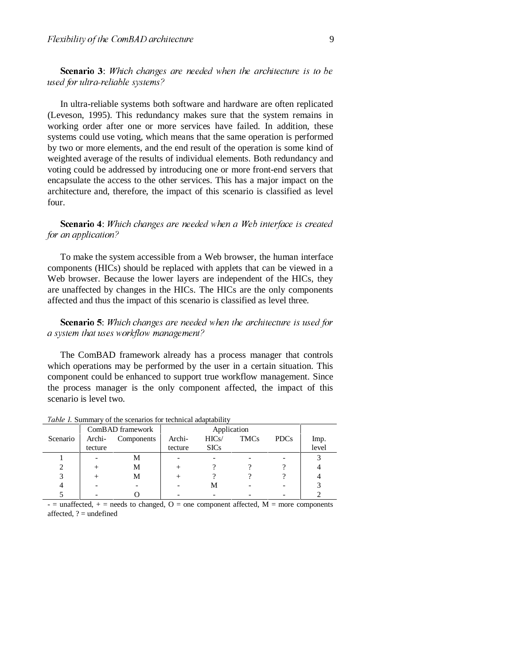In ultra-reliable systems both software and hardware are often replicated (Leveson, 1995). This redundancy makes sure that the system remains in working order after one or more services have failed. In addition, these systems could use voting, which means that the same operation is performed by two or more elements, and the end result of the operation is some kind of weighted average of the results of individual elements. Both redundancy and voting could be addressed by introducing one or more front-end servers that encapsulate the access to the other services. This has a major impact on the architecture and, therefore, the impact of this scenario is classified as level four.

#### Scenario 4: Which changes are needed when a Web interface is created for an application?

To make the system accessible from a Web browser, the human interface components (HICs) should be replaced with applets that can be viewed in a Web browser. Because the lower layers are independent of the HICs, they are unaffected by changes in the HICs. The HICs are the only components affected and thus the impact of this scenario is classified as level three.

Scenario 5: Which changes are needed when the architecture is used for a system that uses workflow management?

The ComBAD framework already has a process manager that controls which operations may be performed by the user in a certain situation. This component could be enhanced to support true workflow management. Since the process manager is the only component affected, the impact of this scenario is level two.

| <u>UI MIS DESIMITUD IUI MESIMIEMI MUMPMUIIIV</u> |                  |            |             |             |             |             |       |  |
|--------------------------------------------------|------------------|------------|-------------|-------------|-------------|-------------|-------|--|
|                                                  | ComBAD framework |            | Application |             |             |             |       |  |
| Scenario                                         | Archi-           | Components | Archi-      | HICs/       | <b>TMCs</b> | <b>PDCs</b> | Imp.  |  |
|                                                  | tecture          |            | tecture     | <b>SICs</b> |             |             | level |  |
|                                                  |                  | м          |             |             |             |             |       |  |
|                                                  |                  | м          |             |             |             |             |       |  |
|                                                  |                  | М          |             |             |             |             |       |  |
|                                                  |                  |            |             |             |             |             |       |  |
|                                                  |                  |            |             |             |             |             |       |  |

Table 1. Summary of the scenarios for technical adaptability

 $-$  = unaffected,  $+$  = needs to changed, O = one component affected, M = more components affected,  $? =$  undefined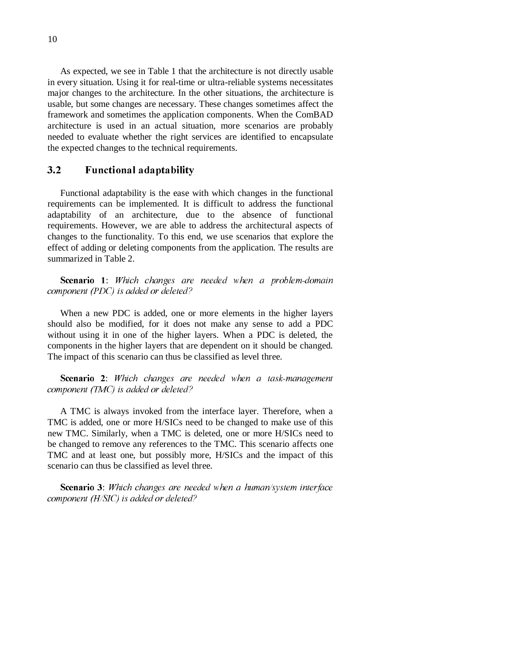As expected, we see in Table 1 that the architecture is not directly usable in every situation. Using it for real-time or ultra-reliable systems necessitates major changes to the architecture. In the other situations, the architecture is usable, but some changes are necessary. These changes sometimes affect the framework and sometimes the application components. When the ComBAD architecture is used in an actual situation, more scenarios are probably needed to evaluate whether the right services are identified to encapsulate the expected changes to the technical requirements.

#### 3.2 Functional adaptability

Functional adaptability is the ease with which changes in the functional requirements can be implemented. It is difficult to address the functional adaptability of an architecture, due to the absence of functional requirements. However, we are able to address the architectural aspects of changes to the functionality. To this end, we use scenarios that explore the effect of adding or deleting components from the application. The results are summarized in Table 2.

Scenario 1: Which changes are needed when a problem-domain component (PDC) is added or deleted?

When a new PDC is added, one or more elements in the higher layers should also be modified, for it does not make any sense to add a PDC without using it in one of the higher layers. When a PDC is deleted, the components in the higher layers that are dependent on it should be changed. The impact of this scenario can thus be classified as level three.

Scenario 2: Which changes are needed when a task-management component (TMC) is added or deleted?

A TMC is always invoked from the interface layer. Therefore, when a TMC is added, one or more H/SICs need to be changed to make use of this new TMC. Similarly, when a TMC is deleted, one or more H/SICs need to be changed to remove any references to the TMC. This scenario affects one TMC and at least one, but possibly more, H/SICs and the impact of this scenario can thus be classified as level three.

**Scenario 3:** Which changes are needed when a human/system interface  $component$  (H/SIC) is added or deleted?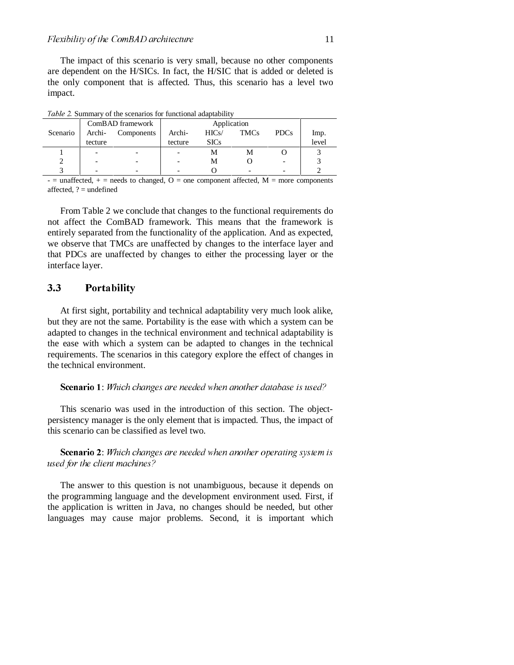The impact of this scenario is very small, because no other components are dependent on the H/SICs. In fact, the H/SIC that is added or deleted is the only component that is affected. Thus, this scenario has a level two impact.

|          | ComBAD framework |            |                          |                    |             |             |       |
|----------|------------------|------------|--------------------------|--------------------|-------------|-------------|-------|
| Scenario | Archi-           | Components | Archi-                   | HIC <sub>s</sub> / | <b>TMCs</b> | <b>PDCs</b> | lmp.  |
|          | tecture          |            | tecture                  | <b>SICs</b>        |             |             | level |
|          |                  |            |                          | М                  |             |             |       |
|          |                  |            | $\overline{\phantom{0}}$ | М                  |             |             |       |
|          |                  |            |                          |                    |             |             |       |

 $Table 2$ . Summary of the scenarios for functional adaptability

 $-$  = unaffected,  $+$  = needs to changed, O = one component affected, M = more components affected, ? = undefined

From Table 2 we conclude that changes to the functional requirements do not affect the ComBAD framework. This means that the framework is entirely separated from the functionality of the application. And as expected, we observe that TMCs are unaffected by changes to the interface layer and that PDCs are unaffected by changes to either the processing layer or the interface layer.

## 3.3 Portability

At first sight, portability and technical adaptability very much look alike, but they are not the same. Portability is the ease with which a system can be adapted to changes in the technical environment and technical adaptability is the ease with which a system can be adapted to changes in the technical requirements. The scenarios in this category explore the effect of changes in the technical environment.

#### Scenario 1: Which changes are needed when another database is used?

This scenario was used in the introduction of this section. The objectpersistency manager is the only element that is impacted. Thus, the impact of this scenario can be classified as level two.

Scenario 2: Which changes are needed when another operating system is used for the client machines?

The answer to this question is not unambiguous, because it depends on the programming language and the development environment used. First, if the application is written in Java, no changes should be needed, but other languages may cause major problems. Second, it is important which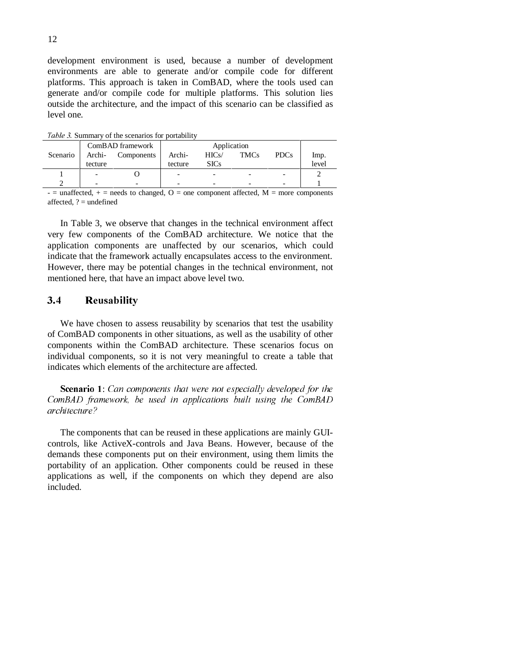development environment is used, because a number of development environments are able to generate and/or compile code for different platforms. This approach is taken in ComBAD, where the tools used can generate and/or compile code for multiple platforms. This solution lies outside the architecture, and the impact of this scenario can be classified as level one.

| <i>l able</i> 5. Summary of the scenarios for portability |                  |            |                          |             |             |             |       |  |
|-----------------------------------------------------------|------------------|------------|--------------------------|-------------|-------------|-------------|-------|--|
|                                                           | ComBAD framework |            |                          |             |             |             |       |  |
| Scenario                                                  | Archi-           | Components | Archi-                   | HICs/       | <b>TMCs</b> | <b>PDCs</b> | Imp.  |  |
|                                                           | tecture          |            | tecture                  | <b>SICs</b> |             |             | level |  |
|                                                           |                  |            |                          |             |             |             |       |  |
|                                                           |                  |            | $\overline{\phantom{0}}$ |             |             |             |       |  |

 $T_0$ <sub>b</sub>  $l_2$   $l_3$   $l_4$   $l_5$   $l_6$   $l_7$   $l_8$   $l_9$   $l_9$   $l_9$   $l_9$   $l_9$   $l_9$   $l_9$   $l_9$   $l_9$   $l_9$   $l_9$   $l_9$   $l_9$   $l_9$   $l_9$   $l_9$   $l_9$   $l_9$   $l_9$   $l_9$   $l_9$   $l_9$   $l_9$   $l_9$   $l_9$   $l_9$   $l_9$   $l_9$   $l$ 

 $-$  = unaffected,  $+$  = needs to changed, O = one component affected, M = more components affected,  $? =$  undefined

In Table 3, we observe that changes in the technical environment affect very few components of the ComBAD architecture. We notice that the application components are unaffected by our scenarios, which could indicate that the framework actually encapsulates access to the environment. However, there may be potential changes in the technical environment, not mentioned here, that have an impact above level two.

## 3.4 Reusability

We have chosen to assess reusability by scenarios that test the usability of ComBAD components in other situations, as well as the usability of other components within the ComBAD architecture. These scenarios focus on individual components, so it is not very meaningful to create a table that indicates which elements of the architecture are affected.

**Scenario** 1: Can components that were not especially developed for the  $ComBAD$  framework, be used in applications built using the  $ComBAD$ architecture?

The components that can be reused in these applications are mainly GUIcontrols, like ActiveX-controls and Java Beans. However, because of the demands these components put on their environment, using them limits the portability of an application. Other components could be reused in these applications as well, if the components on which they depend are also included.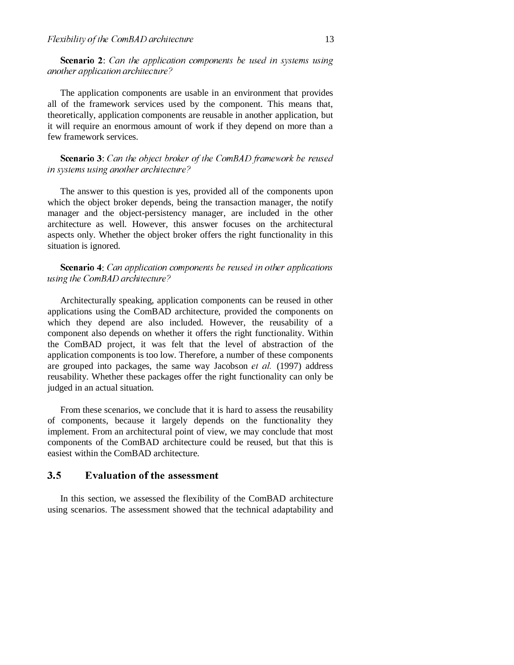**Scenario 2:** Can the application components be used in systems using another application architecture?

The application components are usable in an environment that provides all of the framework services used by the component. This means that, theoretically, application components are reusable in another application, but it will require an enormous amount of work if they depend on more than a few framework services.

**Scenario 3:** Can the object broker of the ComBAD framework be reused in systems using another architecture?

The answer to this question is yes, provided all of the components upon which the object broker depends, being the transaction manager, the notify manager and the object-persistency manager, are included in the other architecture as well. However, this answer focuses on the architectural aspects only. Whether the object broker offers the right functionality in this situation is ignored.

Scenario 4: Can application components be reused in other applications using the ComBAD architecture?

Architecturally speaking, application components can be reused in other applications using the ComBAD architecture, provided the components on which they depend are also included. However, the reusability of a component also depends on whether it offers the right functionality. Within the ComBAD project, it was felt that the level of abstraction of the application components is too low. Therefore, a number of these components are grouped into packages, the same way Jacobson *et al.* (1997) address reusability. Whether these packages offer the right functionality can only be judged in an actual situation.

From these scenarios, we conclude that it is hard to assess the reusability of components, because it largely depends on the functionality they implement. From an architectural point of view, we may conclude that most components of the ComBAD architecture could be reused, but that this is easiest within the ComBAD architecture.

# 3.5 Evaluation of the assessment

In this section, we assessed the flexibility of the ComBAD architecture using scenarios. The assessment showed that the technical adaptability and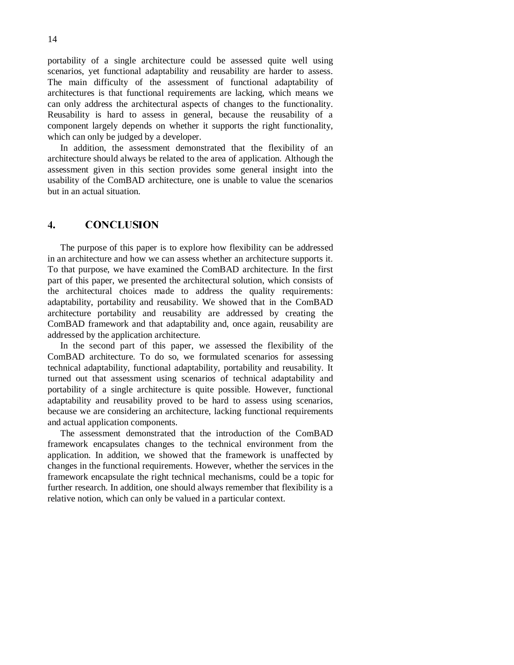portability of a single architecture could be assessed quite well using scenarios, yet functional adaptability and reusability are harder to assess. The main difficulty of the assessment of functional adaptability of architectures is that functional requirements are lacking, which means we can only address the architectural aspects of changes to the functionality. Reusability is hard to assess in general, because the reusability of a component largely depends on whether it supports the right functionality, which can only be judged by a developer.

In addition, the assessment demonstrated that the flexibility of an architecture should always be related to the area of application. Although the assessment given in this section provides some general insight into the usability of the ComBAD architecture, one is unable to value the scenarios but in an actual situation.

#### 4. CONCLUSION

The purpose of this paper is to explore how flexibility can be addressed in an architecture and how we can assess whether an architecture supports it. To that purpose, we have examined the ComBAD architecture. In the first part of this paper, we presented the architectural solution, which consists of the architectural choices made to address the quality requirements: adaptability, portability and reusability. We showed that in the ComBAD architecture portability and reusability are addressed by creating the ComBAD framework and that adaptability and, once again, reusability are addressed by the application architecture.

In the second part of this paper, we assessed the flexibility of the ComBAD architecture. To do so, we formulated scenarios for assessing technical adaptability, functional adaptability, portability and reusability. It turned out that assessment using scenarios of technical adaptability and portability of a single architecture is quite possible. However, functional adaptability and reusability proved to be hard to assess using scenarios, because we are considering an architecture, lacking functional requirements and actual application components.

The assessment demonstrated that the introduction of the ComBAD framework encapsulates changes to the technical environment from the application. In addition, we showed that the framework is unaffected by changes in the functional requirements. However, whether the services in the framework encapsulate the right technical mechanisms, could be a topic for further research. In addition, one should always remember that flexibility is a relative notion, which can only be valued in a particular context.